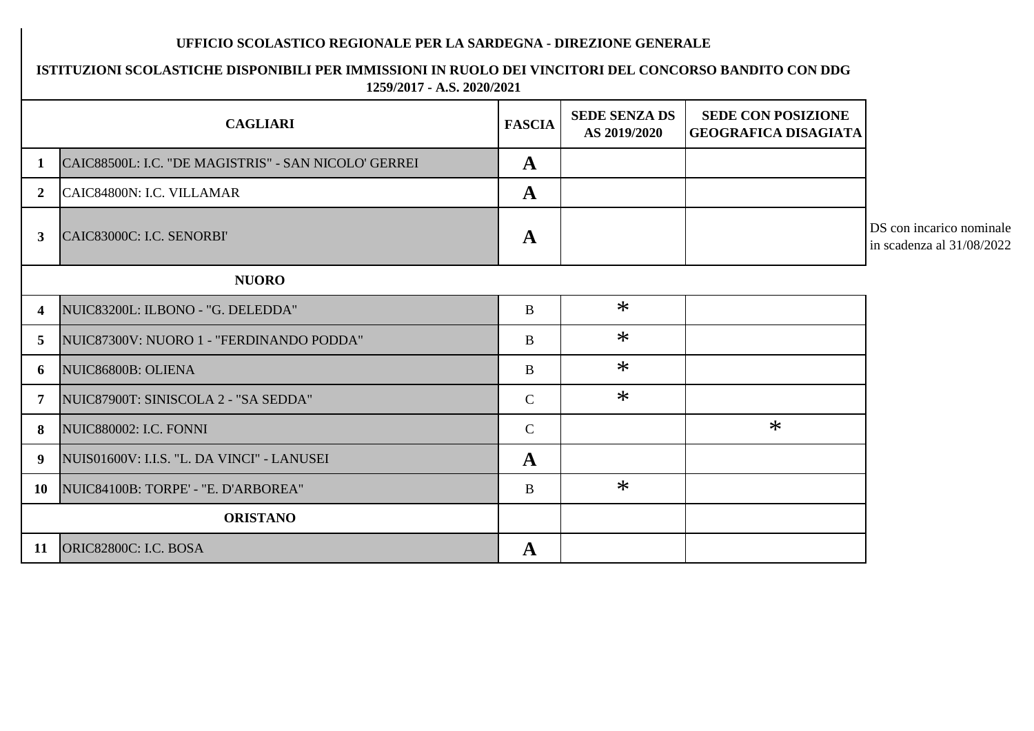## **UFFICIO SCOLASTICO REGIONALE PER LA SARDEGNA - DIREZIONE GENERALE**

## **ISTITUZIONI SCOLASTICHE DISPONIBILI PER IMMISSIONI IN RUOLO DEI VINCITORI DEL CONCORSO BANDITO CON DDG 1259/2017 - A.S. 2020/2021**

|                         | <b>CAGLIARI</b>                                      | <b>FASCIA</b> | <b>SEDE SENZA DS</b><br>AS 2019/2020 | <b>SEDE CON POSIZIONE</b><br><b>GEOGRAFICA DISAGIATA</b> |                                                         |
|-------------------------|------------------------------------------------------|---------------|--------------------------------------|----------------------------------------------------------|---------------------------------------------------------|
| $\mathbf{1}$            | CAIC88500L: I.C. "DE MAGISTRIS" - SAN NICOLO' GERREI | $\mathbf{A}$  |                                      |                                                          |                                                         |
| 2 <sup>1</sup>          | CAIC84800N: I.C. VILLAMAR                            | $\mathbf{A}$  |                                      |                                                          |                                                         |
| 3 <sup>1</sup>          | CAIC83000C: I.C. SENORBI'                            | $\mathbf{A}$  |                                      |                                                          | DS con incarico nominale<br>in scadenza al $31/08/2022$ |
|                         | <b>NUORO</b>                                         |               |                                      |                                                          |                                                         |
| $\overline{\mathbf{4}}$ | NUIC83200L: ILBONO - "G. DELEDDA"                    | $\bf{B}$      | $\ast$                               |                                                          |                                                         |
| 5 <sup>1</sup>          | NUIC87300V: NUORO 1 - "FERDINANDO PODDA"             | B             | $\ast$                               |                                                          |                                                         |
| 6                       | NUIC86800B: OLIENA                                   | B             | $\ast$                               |                                                          |                                                         |
| $\overline{7}$          | NUIC87900T: SINISCOLA 2 - "SA SEDDA"                 | $\mathsf{C}$  | $\ast$                               |                                                          |                                                         |
| 8                       | NUIC880002: I.C. FONNI                               | $\mathcal{C}$ |                                      | $\ast$                                                   |                                                         |
| 9                       | NUIS01600V: I.I.S. "L. DA VINCI" - LANUSEI           | $\mathbf{A}$  |                                      |                                                          |                                                         |
| 10                      | NUIC84100B: TORPE' - "E. D'ARBOREA"                  | $\bf{B}$      | $\ast$                               |                                                          |                                                         |
|                         | <b>ORISTANO</b>                                      |               |                                      |                                                          |                                                         |
| 11                      | ORIC82800C: I.C. BOSA                                | $\mathbf{A}$  |                                      |                                                          |                                                         |